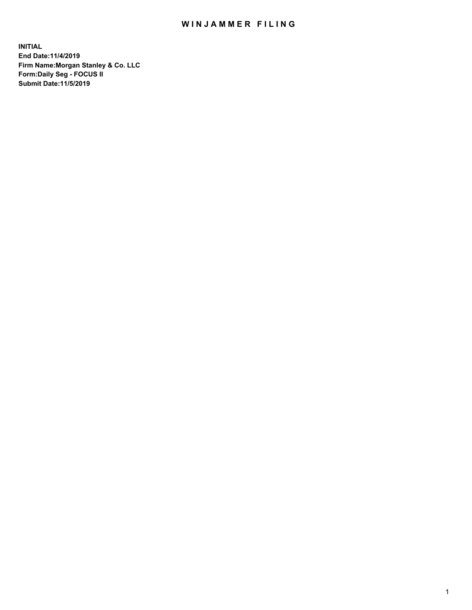## WIN JAMMER FILING

**INITIAL End Date:11/4/2019 Firm Name:Morgan Stanley & Co. LLC Form:Daily Seg - FOCUS II Submit Date:11/5/2019**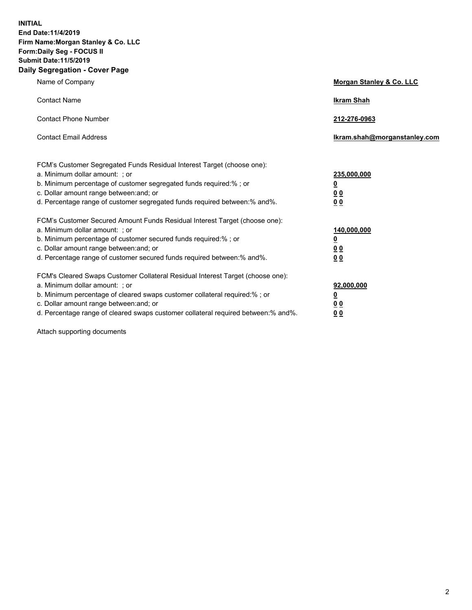**INITIAL End Date:11/4/2019 Firm Name:Morgan Stanley & Co. LLC Form:Daily Seg - FOCUS II Submit Date:11/5/2019 Daily Segregation - Cover Page**

| Name of Company                                                                                                                                                                                                                                                                                                                | Morgan Stanley & Co. LLC                                    |
|--------------------------------------------------------------------------------------------------------------------------------------------------------------------------------------------------------------------------------------------------------------------------------------------------------------------------------|-------------------------------------------------------------|
| <b>Contact Name</b>                                                                                                                                                                                                                                                                                                            | <b>Ikram Shah</b>                                           |
| <b>Contact Phone Number</b>                                                                                                                                                                                                                                                                                                    | 212-276-0963                                                |
| <b>Contact Email Address</b>                                                                                                                                                                                                                                                                                                   | lkram.shah@morganstanley.com                                |
| FCM's Customer Segregated Funds Residual Interest Target (choose one):<br>a. Minimum dollar amount: ; or<br>b. Minimum percentage of customer segregated funds required:% ; or<br>c. Dollar amount range between: and; or<br>d. Percentage range of customer segregated funds required between: % and %.                       | 235,000,000<br><u>0</u><br><u>00</u><br>0 <sup>0</sup>      |
| FCM's Customer Secured Amount Funds Residual Interest Target (choose one):<br>a. Minimum dollar amount: ; or<br>b. Minimum percentage of customer secured funds required:%; or<br>c. Dollar amount range between: and; or<br>d. Percentage range of customer secured funds required between:% and%.                            | 140,000,000<br><u>0</u><br>0 <sub>0</sub><br>0 <sub>0</sub> |
| FCM's Cleared Swaps Customer Collateral Residual Interest Target (choose one):<br>a. Minimum dollar amount: ; or<br>b. Minimum percentage of cleared swaps customer collateral required:% ; or<br>c. Dollar amount range between: and; or<br>d. Percentage range of cleared swaps customer collateral required between:% and%. | 92,000,000<br><u>0</u><br><u>00</u><br>0 <sup>0</sup>       |

Attach supporting documents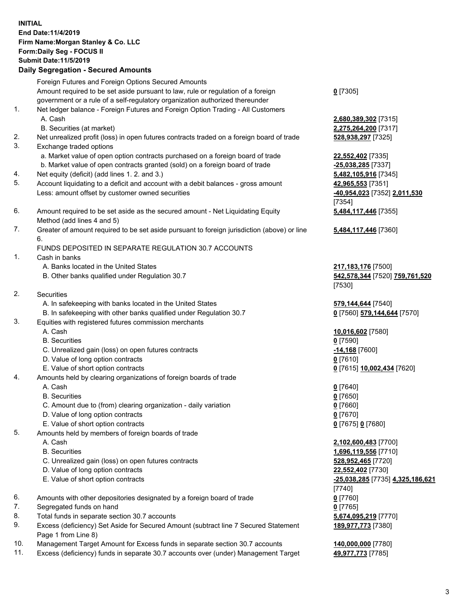## **INITIAL End Date:11/4/2019 Firm Name:Morgan Stanley & Co. LLC Form:Daily Seg - FOCUS II Submit Date:11/5/2019 Daily Segregation - Secured Amounts**

Foreign Futures and Foreign Options Secured Amounts Amount required to be set aside pursuant to law, rule or regulation of a foreign government or a rule of a self-regulatory organization authorized thereunder 1. Net ledger balance - Foreign Futures and Foreign Option Trading - All Customers A. Cash **2,680,389,302** [7315] B. Securities (at market) **2,275,264,200** [7317] 2. Net unrealized profit (loss) in open futures contracts traded on a foreign board of trade **528,938,297** [7325] 3. Exchange traded options a. Market value of open option contracts purchased on a foreign board of trade **22,552,402** [7335] b. Market value of open contracts granted (sold) on a foreign board of trade **-25,038,285** [7337] 4. Net equity (deficit) (add lines 1. 2. and 3.) **5,482,105,916** [7345] 5. Account liquidating to a deficit and account with a debit balances - gross amount **42,965,553** [7351] Less: amount offset by customer owned securities **-40,954,023** [7352] **2,011,530** 6. Amount required to be set aside as the secured amount - Net Liquidating Equity Method (add lines 4 and 5) 7. Greater of amount required to be set aside pursuant to foreign jurisdiction (above) or line 6. FUNDS DEPOSITED IN SEPARATE REGULATION 30.7 ACCOUNTS 1. Cash in banks A. Banks located in the United States **217,183,176** [7500] B. Other banks qualified under Regulation 30.7 **542,578,344** [7520] **759,761,520** 2. Securities A. In safekeeping with banks located in the United States **579,144,644** [7540] B. In safekeeping with other banks qualified under Regulation 30.7 **0** [7560] **579,144,644** [7570] 3. Equities with registered futures commission merchants A. Cash **10,016,602** [7580] B. Securities **0** [7590] C. Unrealized gain (loss) on open futures contracts **-14,168** [7600] D. Value of long option contracts **0** [7610] E. Value of short option contracts **0** [7615] **10,002,434** [7620] 4. Amounts held by clearing organizations of foreign boards of trade A. Cash **0** [7640] B. Securities **0** [7650] C. Amount due to (from) clearing organization - daily variation **0** [7660]

- D. Value of long option contracts **0** [7670]
- E. Value of short option contracts **0** [7675] **0** [7680]
- 5. Amounts held by members of foreign boards of trade
	-
	-
	- C. Unrealized gain (loss) on open futures contracts **528,952,465** [7720]
	- D. Value of long option contracts **22,552,402** [7730]
	- E. Value of short option contracts **-25,038,285** [7735] **4,325,186,621**
- 6. Amounts with other depositories designated by a foreign board of trade **0** [7760]
- 7. Segregated funds on hand **0** [7765]
- 8. Total funds in separate section 30.7 accounts **5,674,095,219** [7770]
- 9. Excess (deficiency) Set Aside for Secured Amount (subtract line 7 Secured Statement Page 1 from Line 8)
- 10. Management Target Amount for Excess funds in separate section 30.7 accounts **140,000,000** [7780]
- 11. Excess (deficiency) funds in separate 30.7 accounts over (under) Management Target **49,977,773** [7785]

**0** [7305]

[7354] **5,484,117,446** [7355]

**5,484,117,446** [7360]

[7530]

 A. Cash **2,102,600,483** [7700] B. Securities **1,696,119,556** [7710] [7740] **189,977,773** [7380]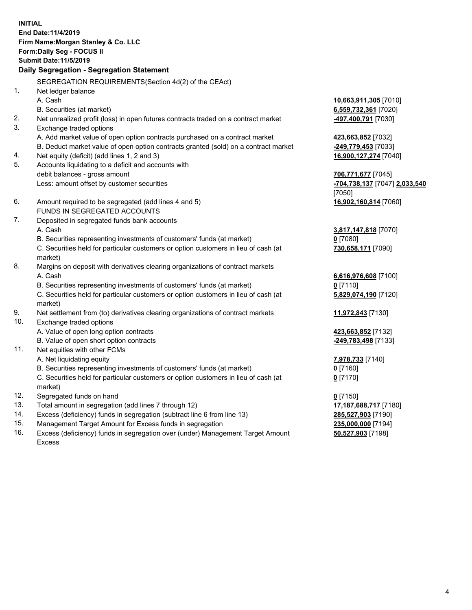**INITIAL End Date:11/4/2019 Firm Name:Morgan Stanley & Co. LLC Form:Daily Seg - FOCUS II Submit Date:11/5/2019 Daily Segregation - Segregation Statement** SEGREGATION REQUIREMENTS(Section 4d(2) of the CEAct) 1. Net ledger balance A. Cash **10,663,911,305** [7010] B. Securities (at market) **6,559,732,361** [7020] 2. Net unrealized profit (loss) in open futures contracts traded on a contract market **-497,400,791** [7030] 3. Exchange traded options A. Add market value of open option contracts purchased on a contract market **423,663,852** [7032] B. Deduct market value of open option contracts granted (sold) on a contract market **-249,779,453** [7033] 4. Net equity (deficit) (add lines 1, 2 and 3) **16,900,127,274** [7040] 5. Accounts liquidating to a deficit and accounts with debit balances - gross amount **706,771,677** [7045] Less: amount offset by customer securities **-704,738,137** [7047] **2,033,540** [7050] 6. Amount required to be segregated (add lines 4 and 5) **16,902,160,814** [7060] FUNDS IN SEGREGATED ACCOUNTS 7. Deposited in segregated funds bank accounts A. Cash **3,817,147,818** [7070] B. Securities representing investments of customers' funds (at market) **0** [7080] C. Securities held for particular customers or option customers in lieu of cash (at market) **730,658,171** [7090] 8. Margins on deposit with derivatives clearing organizations of contract markets A. Cash **6,616,976,608** [7100] B. Securities representing investments of customers' funds (at market) **0** [7110] C. Securities held for particular customers or option customers in lieu of cash (at market) **5,829,074,190** [7120] 9. Net settlement from (to) derivatives clearing organizations of contract markets **11,972,843** [7130] 10. Exchange traded options A. Value of open long option contracts **423,663,852** [7132] B. Value of open short option contracts **-249,783,498** [7133] 11. Net equities with other FCMs A. Net liquidating equity **7,978,733** [7140] B. Securities representing investments of customers' funds (at market) **0** [7160] C. Securities held for particular customers or option customers in lieu of cash (at market) **0** [7170] 12. Segregated funds on hand **0** [7150] 13. Total amount in segregation (add lines 7 through 12) **17,187,688,717** [7180] 14. Excess (deficiency) funds in segregation (subtract line 6 from line 13) **285,527,903** [7190]

- 15. Management Target Amount for Excess funds in segregation **235,000,000** [7194]
- 16. Excess (deficiency) funds in segregation over (under) Management Target Amount Excess

**50,527,903** [7198]